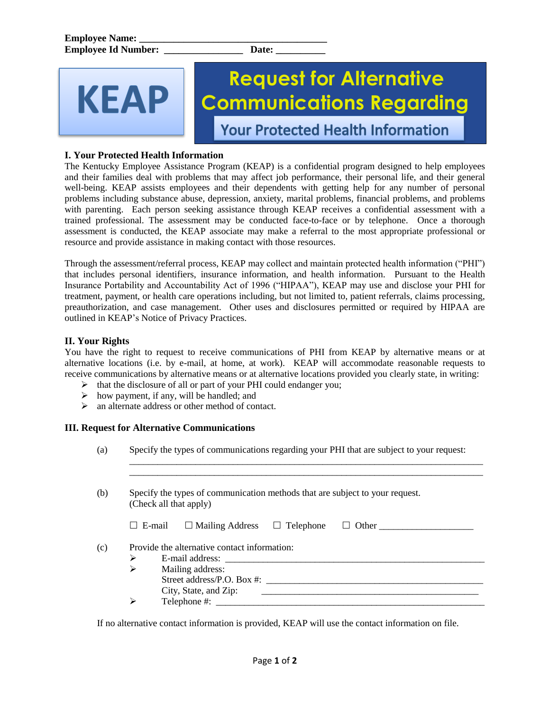KFAP

# **Request for Alternative Communications Regarding Your Protected Health Information**

**I. Your Protected Health Information**

The Kentucky Employee Assistance Program (KEAP) is a confidential program designed to help employees and their families deal with problems that may affect job performance, their personal life, and their general well-being. KEAP assists employees and their dependents with getting help for any number of personal problems including substance abuse, depression, anxiety, marital problems, financial problems, and problems with parenting. Each person seeking assistance through KEAP receives a confidential assessment with a trained professional. The assessment may be conducted face-to-face or by telephone. Once a thorough assessment is conducted, the KEAP associate may make a referral to the most appropriate professional or resource and provide assistance in making contact with those resources.

Through the assessment/referral process, KEAP may collect and maintain protected health information ("PHI") that includes personal identifiers, insurance information, and health information. Pursuant to the Health Insurance Portability and Accountability Act of 1996 ("HIPAA"), KEAP may use and disclose your PHI for treatment, payment, or health care operations including, but not limited to, patient referrals, claims processing, preauthorization, and case management. Other uses and disclosures permitted or required by HIPAA are outlined in KEAP's Notice of Privacy Practices.

## **II. Your Rights**

You have the right to request to receive communications of PHI from KEAP by alternative means or at alternative locations (i.e. by e-mail, at home, at work). KEAP will accommodate reasonable requests to receive communications by alternative means or at alternative locations provided you clearly state, in writing:

- $\triangleright$  that the disclosure of all or part of your PHI could endanger you;
- $\triangleright$  how payment, if any, will be handled; and
- $\triangleright$  an alternate address or other method of contact.

### **III. Request for Alternative Communications**

(a) Specify the types of communications regarding your PHI that are subject to your request:

 $\overline{\phantom{a}}$  ,  $\overline{\phantom{a}}$  ,  $\overline{\phantom{a}}$  ,  $\overline{\phantom{a}}$  ,  $\overline{\phantom{a}}$  ,  $\overline{\phantom{a}}$  ,  $\overline{\phantom{a}}$  ,  $\overline{\phantom{a}}$  ,  $\overline{\phantom{a}}$  ,  $\overline{\phantom{a}}$  ,  $\overline{\phantom{a}}$  ,  $\overline{\phantom{a}}$  ,  $\overline{\phantom{a}}$  ,  $\overline{\phantom{a}}$  ,  $\overline{\phantom{a}}$  ,  $\overline{\phantom{a}}$ 

|   | Specify the types of communication methods that are subject to your request.<br>(Check all that apply) |
|---|--------------------------------------------------------------------------------------------------------|
|   | $\Box$ Mailing Address<br>$\Box$ Telephone<br>$\Box$ Other<br>$\Box$ E-mail                            |
|   | Provide the alternative contact information:                                                           |
| ⋗ |                                                                                                        |
| ➢ | Mailing address:                                                                                       |
|   |                                                                                                        |
|   | Street address/P.O. Box #:                                                                             |
|   | City, State, and Zip:                                                                                  |

If no alternative contact information is provided, KEAP will use the contact information on file.